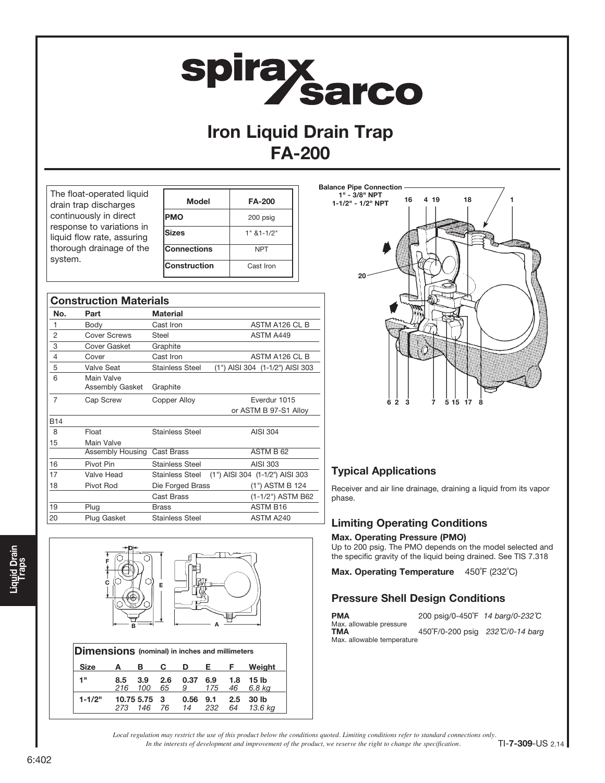# **spiray<br>Sarco**

# Iron Liquid Drain Trap FA-200

| The float-operated liquid  |
|----------------------------|
| drain trap discharges      |
| continuously in direct     |
| response to variations in  |
| liquid flow rate, assuring |
| thorough drainage of the   |
| system.                    |
|                            |

C

F

D

| Model              | <b>FA-200</b>  |
|--------------------|----------------|
| <b>PMO</b>         | 200 psig       |
| Sizes              | $1" 81 - 1/2"$ |
| <b>Connections</b> | <b>NPT</b>     |
| Construction       | Cast Iron      |

| <b>Construction Materials</b> |                               |                        |                                 |  |  |  |
|-------------------------------|-------------------------------|------------------------|---------------------------------|--|--|--|
| No.                           | Part                          | <b>Material</b>        |                                 |  |  |  |
| 1                             | Body                          | Cast Iron              | ASTM A126 CL B                  |  |  |  |
| 2                             | <b>Cover Screws</b>           | Steel                  | ASTM A449                       |  |  |  |
| 3                             | <b>Cover Gasket</b>           | Graphite               |                                 |  |  |  |
| $\overline{4}$                | Cover                         | Cast Iron              | ASTM A126 CL B                  |  |  |  |
| 5                             | Valve Seat                    | <b>Stainless Steel</b> | (1") AISI 304 (1-1/2") AISI 303 |  |  |  |
| 6                             | Main Valve<br>Assembly Gasket | Graphite               |                                 |  |  |  |
| 7                             | Cap Screw                     | Copper Alloy           | Fverdur 1015                    |  |  |  |
|                               |                               |                        | or ASTM B 97-S1 Alloy           |  |  |  |
| <b>B14</b>                    |                               |                        |                                 |  |  |  |
| 8                             | Float                         | <b>Stainless Steel</b> | AISI 304                        |  |  |  |
| 15                            | Main Valve                    |                        |                                 |  |  |  |
|                               | Assembly Housing              | Cast Brass             | ASTM B 62                       |  |  |  |
| 16                            | Pivot Pin                     | <b>Stainless Steel</b> | AISI 303                        |  |  |  |
| 17                            | Valve Head                    | <b>Stainless Steel</b> | (1") AISI 304 (1-1/2") AISI 303 |  |  |  |
| 18                            | Pivot Rod                     | Die Forged Brass       | (1") ASTM B 124                 |  |  |  |
|                               |                               | Cast Brass             | (1-1/2") ASTM B62               |  |  |  |
| 19                            | Plug                          | <b>Brass</b>           | <b>ASTM B16</b>                 |  |  |  |
| 20                            | Plug Gasket                   | <b>Stainless Steel</b> | ASTM A240                       |  |  |  |



## Typical Applications

Receiver and air line drainage, draining a liquid from its vapor phase.

## Limiting Operating Conditions

## Max. Operating Pressure (PMO)

Up to 200 psig. The PMO depends on the model selected and the specific gravity of the liquid being drained. See TIS 7.318

Max. Operating Temperature 450°F (232°C)

## Pressure Shell Design Conditions

| <b>PMA</b>                                                          | 200 psig/0-450°F 14 barg/0-232℃  |  |
|---------------------------------------------------------------------|----------------------------------|--|
| Max. allowable pressure<br><b>TMA</b><br>Max. allowable temperature | 450°F/0-200 psig 232°C/0-14 barg |  |

| <b>Dimensions</b> (nominal) in inches and millimeters |            |                   |           |            |            |           |                  |
|-------------------------------------------------------|------------|-------------------|-----------|------------|------------|-----------|------------------|
| <b>Size</b>                                           | А          | в                 | С         | D          | Е.         | F         | Weiaht           |
| 1"                                                    | 8.5<br>216 | 3.9<br>100        | 2.6<br>65 | 0.37<br>9  | 6.9<br>175 | 1.8<br>46 | 15 lb<br>6.8 kg  |
| $1 - 1/2"$                                            |            | 10.75 5.75<br>146 | - 3<br>76 | 0.56<br>14 | 9.1<br>232 | 2.5<br>64 | 30 lb<br>13.6 ka |

 $\overline{B}$   $\overline{B}$   $\overline{B}$   $\overline{B}$   $\overline{C}$   $\overline{A}$   $\overline{C}$   $\overline{A}$   $\overline{C}$   $\overline{A}$   $\overline{C}$   $\overline{A}$   $\overline{C}$   $\overline{A}$   $\overline{C}$   $\overline{C}$   $\overline{A}$   $\overline{C}$   $\overline{C}$   $\overline{A}$   $\overline{C}$   $\overline{C}$   $\overline{C}$   $\overline{C}$   $\overline{$ 

E

*In the interests of development and improvement of the product, we reserve the right to change the specification. Local regulation may restrict the use of this product below the conditions quoted. Limiting conditions refer to standard connections only.*